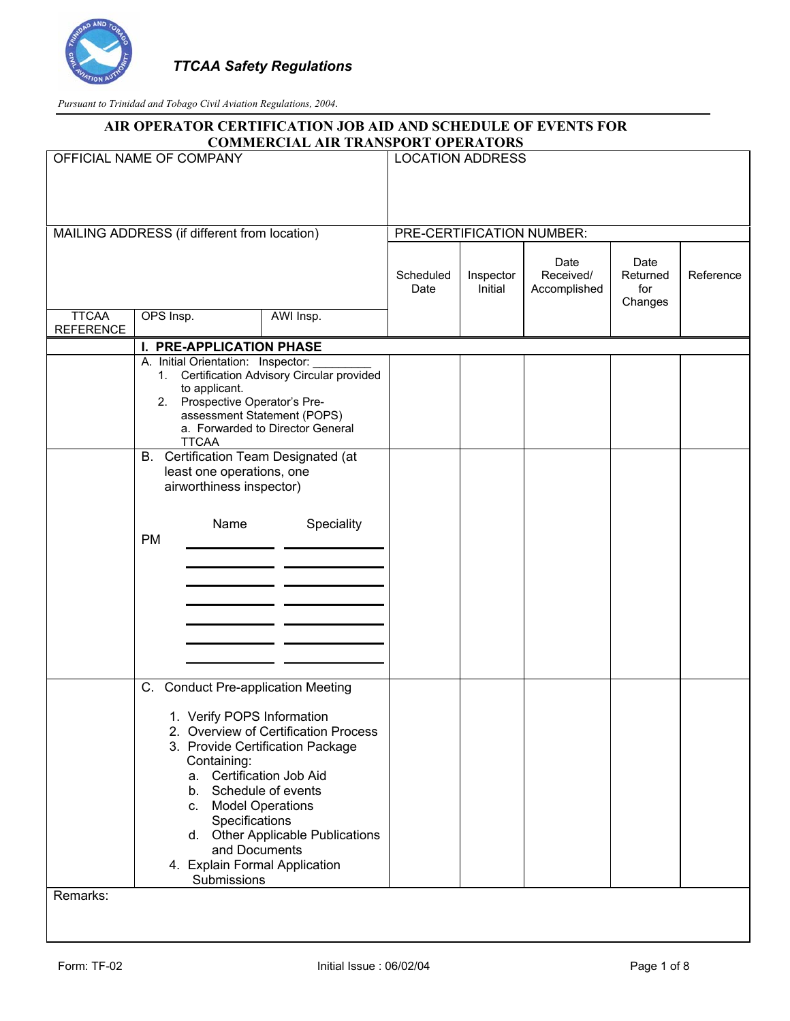

|                                  |                                                                                                                                                                                                                                                | AIR OPERATOR CERTIFICATION JOB AID AND SCHEDULE OF EVENTS FOR<br><b>COMMERCIAL AIR TRANSPORT OPERATORS</b>                   |                           |                      |                                   |                                    |           |
|----------------------------------|------------------------------------------------------------------------------------------------------------------------------------------------------------------------------------------------------------------------------------------------|------------------------------------------------------------------------------------------------------------------------------|---------------------------|----------------------|-----------------------------------|------------------------------------|-----------|
|                                  | OFFICIAL NAME OF COMPANY                                                                                                                                                                                                                       |                                                                                                                              | <b>LOCATION ADDRESS</b>   |                      |                                   |                                    |           |
|                                  |                                                                                                                                                                                                                                                |                                                                                                                              |                           |                      |                                   |                                    |           |
|                                  | MAILING ADDRESS (if different from location)                                                                                                                                                                                                   |                                                                                                                              | PRE-CERTIFICATION NUMBER: |                      |                                   |                                    |           |
|                                  |                                                                                                                                                                                                                                                |                                                                                                                              | Scheduled<br>Date         | Inspector<br>Initial | Date<br>Received/<br>Accomplished | Date<br>Returned<br>for<br>Changes | Reference |
| <b>TTCAA</b><br><b>REFERENCE</b> | OPS Insp.                                                                                                                                                                                                                                      | AWI Insp.                                                                                                                    |                           |                      |                                   |                                    |           |
|                                  | I. PRE-APPLICATION PHASE                                                                                                                                                                                                                       |                                                                                                                              |                           |                      |                                   |                                    |           |
|                                  | A. Initial Orientation: Inspector:<br>to applicant.<br>2. Prospective Operator's Pre-<br><b>TTCAA</b><br><b>B.</b> Certification Team Designated (at<br>least one operations, one<br>airworthiness inspector)<br>Name<br><b>PM</b>             | 1. Certification Advisory Circular provided<br>assessment Statement (POPS)<br>a. Forwarded to Director General<br>Speciality |                           |                      |                                   |                                    |           |
| Remarks:                         | C. Conduct Pre-application Meeting<br>1. Verify POPS Information<br>Containing:<br>a. Certification Job Aid<br>b. Schedule of events<br>c. Model Operations<br>Specifications<br>and Documents<br>4. Explain Formal Application<br>Submissions | 2. Overview of Certification Process<br>3. Provide Certification Package<br>d. Other Applicable Publications                 |                           |                      |                                   |                                    |           |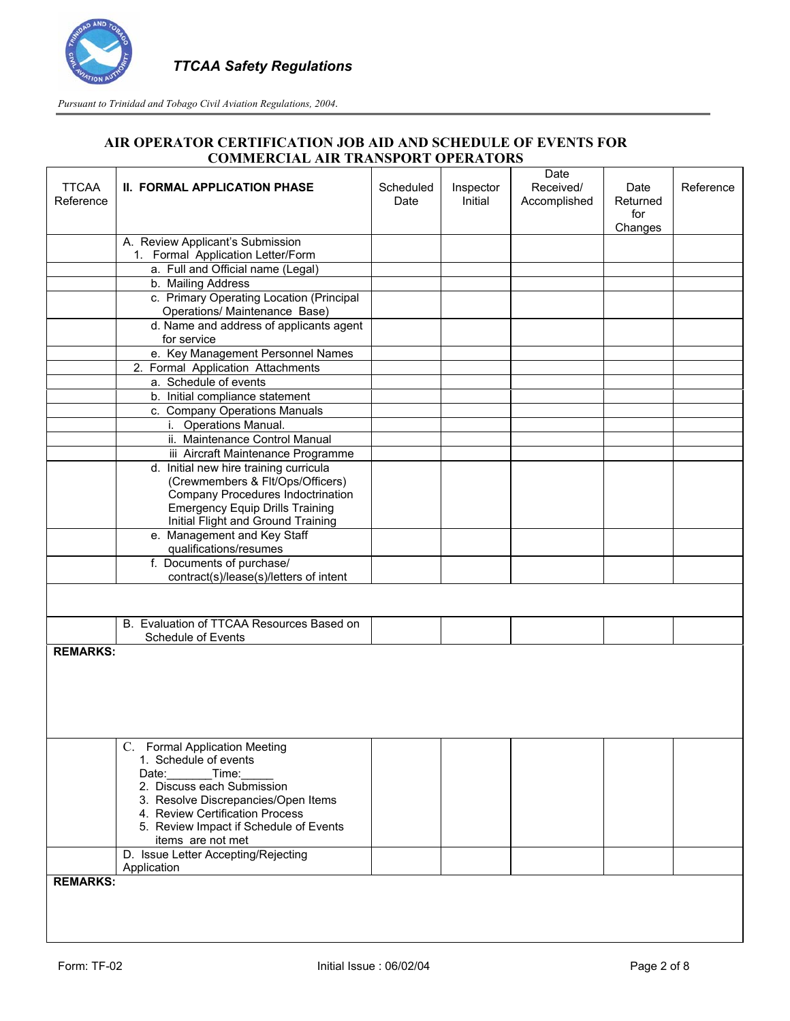

| <b>TTCAA</b><br>Reference | <b>II. FORMAL APPLICATION PHASE</b>                                         | Scheduled<br>Date | Inspector<br>Initial | Date<br>Received/<br>Accomplished | Date<br>Returned<br>for<br>Changes | Reference |
|---------------------------|-----------------------------------------------------------------------------|-------------------|----------------------|-----------------------------------|------------------------------------|-----------|
|                           | A. Review Applicant's Submission                                            |                   |                      |                                   |                                    |           |
|                           | 1. Formal Application Letter/Form                                           |                   |                      |                                   |                                    |           |
|                           | a. Full and Official name (Legal)                                           |                   |                      |                                   |                                    |           |
|                           | b. Mailing Address                                                          |                   |                      |                                   |                                    |           |
|                           | c. Primary Operating Location (Principal<br>Operations/ Maintenance Base)   |                   |                      |                                   |                                    |           |
|                           | d. Name and address of applicants agent<br>for service                      |                   |                      |                                   |                                    |           |
|                           | e. Key Management Personnel Names                                           |                   |                      |                                   |                                    |           |
|                           | 2. Formal Application Attachments                                           |                   |                      |                                   |                                    |           |
|                           | a. Schedule of events                                                       |                   |                      |                                   |                                    |           |
|                           | b. Initial compliance statement                                             |                   |                      |                                   |                                    |           |
|                           | c. Company Operations Manuals                                               |                   |                      |                                   |                                    |           |
|                           | i. Operations Manual.                                                       |                   |                      |                                   |                                    |           |
|                           | ii. Maintenance Control Manual                                              |                   |                      |                                   |                                    |           |
|                           | iii Aircraft Maintenance Programme                                          |                   |                      |                                   |                                    |           |
|                           | d. Initial new hire training curricula                                      |                   |                      |                                   |                                    |           |
|                           | (Crewmembers & Flt/Ops/Officers)                                            |                   |                      |                                   |                                    |           |
|                           | Company Procedures Indoctrination<br><b>Emergency Equip Drills Training</b> |                   |                      |                                   |                                    |           |
|                           | Initial Flight and Ground Training                                          |                   |                      |                                   |                                    |           |
|                           | e. Management and Key Staff                                                 |                   |                      |                                   |                                    |           |
|                           | qualifications/resumes                                                      |                   |                      |                                   |                                    |           |
|                           | f. Documents of purchase/                                                   |                   |                      |                                   |                                    |           |
|                           | contract(s)/lease(s)/letters of intent                                      |                   |                      |                                   |                                    |           |
|                           |                                                                             |                   |                      |                                   |                                    |           |
|                           |                                                                             |                   |                      |                                   |                                    |           |
|                           | B. Evaluation of TTCAA Resources Based on                                   |                   |                      |                                   |                                    |           |
|                           | Schedule of Events                                                          |                   |                      |                                   |                                    |           |
| <b>REMARKS:</b>           |                                                                             |                   |                      |                                   |                                    |           |
|                           |                                                                             |                   |                      |                                   |                                    |           |
|                           | C. Formal Application Meeting                                               |                   |                      |                                   |                                    |           |
|                           | 1. Schedule of events<br>Date:<br>Time:                                     |                   |                      |                                   |                                    |           |
|                           | 2. Discuss each Submission                                                  |                   |                      |                                   |                                    |           |
|                           | 3. Resolve Discrepancies/Open Items                                         |                   |                      |                                   |                                    |           |
|                           | 4. Review Certification Process                                             |                   |                      |                                   |                                    |           |
|                           | 5. Review Impact if Schedule of Events                                      |                   |                      |                                   |                                    |           |
|                           | items are not met                                                           |                   |                      |                                   |                                    |           |
|                           | D. Issue Letter Accepting/Rejecting                                         |                   |                      |                                   |                                    |           |
|                           | Application                                                                 |                   |                      |                                   |                                    |           |
| <b>REMARKS:</b>           |                                                                             |                   |                      |                                   |                                    |           |
|                           |                                                                             |                   |                      |                                   |                                    |           |
|                           |                                                                             |                   |                      |                                   |                                    |           |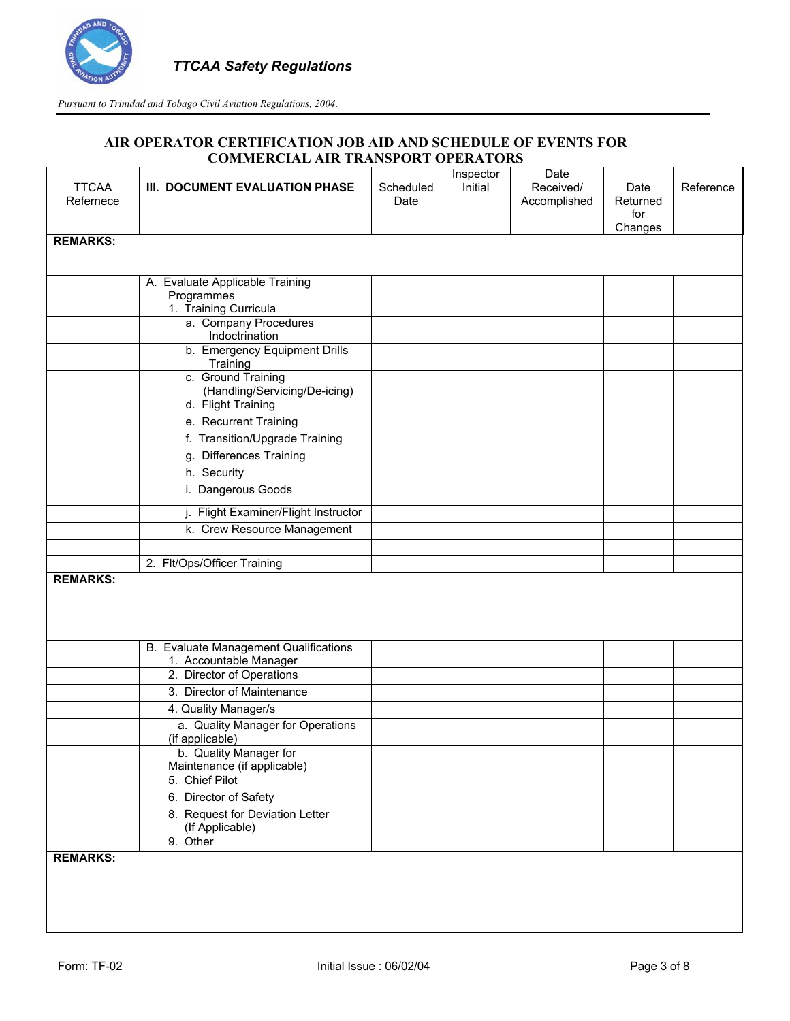

|                 |                                                      |           | Inspector | Date         |                 |           |
|-----------------|------------------------------------------------------|-----------|-----------|--------------|-----------------|-----------|
| <b>TTCAA</b>    | III. DOCUMENT EVALUATION PHASE                       | Scheduled | Initial   | Received/    | Date            | Reference |
| Refernece       |                                                      | Date      |           | Accomplished | Returned<br>for |           |
|                 |                                                      |           |           |              | Changes         |           |
| <b>REMARKS:</b> |                                                      |           |           |              |                 |           |
|                 |                                                      |           |           |              |                 |           |
|                 | A. Evaluate Applicable Training                      |           |           |              |                 |           |
|                 | Programmes                                           |           |           |              |                 |           |
|                 | 1. Training Curricula<br>a. Company Procedures       |           |           |              |                 |           |
|                 | Indoctrination                                       |           |           |              |                 |           |
|                 | b. Emergency Equipment Drills<br>Training            |           |           |              |                 |           |
|                 | c. Ground Training<br>(Handling/Servicing/De-icing)  |           |           |              |                 |           |
|                 | d. Flight Training                                   |           |           |              |                 |           |
|                 | e. Recurrent Training                                |           |           |              |                 |           |
|                 | f. Transition/Upgrade Training                       |           |           |              |                 |           |
|                 | g. Differences Training                              |           |           |              |                 |           |
|                 | h. Security                                          |           |           |              |                 |           |
|                 | i. Dangerous Goods                                   |           |           |              |                 |           |
|                 | Flight Examiner/Flight Instructor                    |           |           |              |                 |           |
|                 | k. Crew Resource Management                          |           |           |              |                 |           |
|                 |                                                      |           |           |              |                 |           |
|                 | 2. Flt/Ops/Officer Training                          |           |           |              |                 |           |
| <b>REMARKS:</b> |                                                      |           |           |              |                 |           |
|                 |                                                      |           |           |              |                 |           |
|                 |                                                      |           |           |              |                 |           |
|                 | B. Evaluate Management Qualifications                |           |           |              |                 |           |
|                 | 1. Accountable Manager                               |           |           |              |                 |           |
|                 | 2. Director of Operations                            |           |           |              |                 |           |
|                 | 3. Director of Maintenance                           |           |           |              |                 |           |
|                 | 4. Quality Manager/s                                 |           |           |              |                 |           |
|                 | a. Quality Manager for Operations<br>(if applicable) |           |           |              |                 |           |
|                 | b. Quality Manager for                               |           |           |              |                 |           |
|                 | Maintenance (if applicable)                          |           |           |              |                 |           |
|                 | 5. Chief Pilot                                       |           |           |              |                 |           |
|                 | 6. Director of Safety                                |           |           |              |                 |           |
|                 | 8. Request for Deviation Letter                      |           |           |              |                 |           |
|                 | (If Applicable)<br>9. Other                          |           |           |              |                 |           |
| <b>REMARKS:</b> |                                                      |           |           |              |                 |           |
|                 |                                                      |           |           |              |                 |           |
|                 |                                                      |           |           |              |                 |           |
|                 |                                                      |           |           |              |                 |           |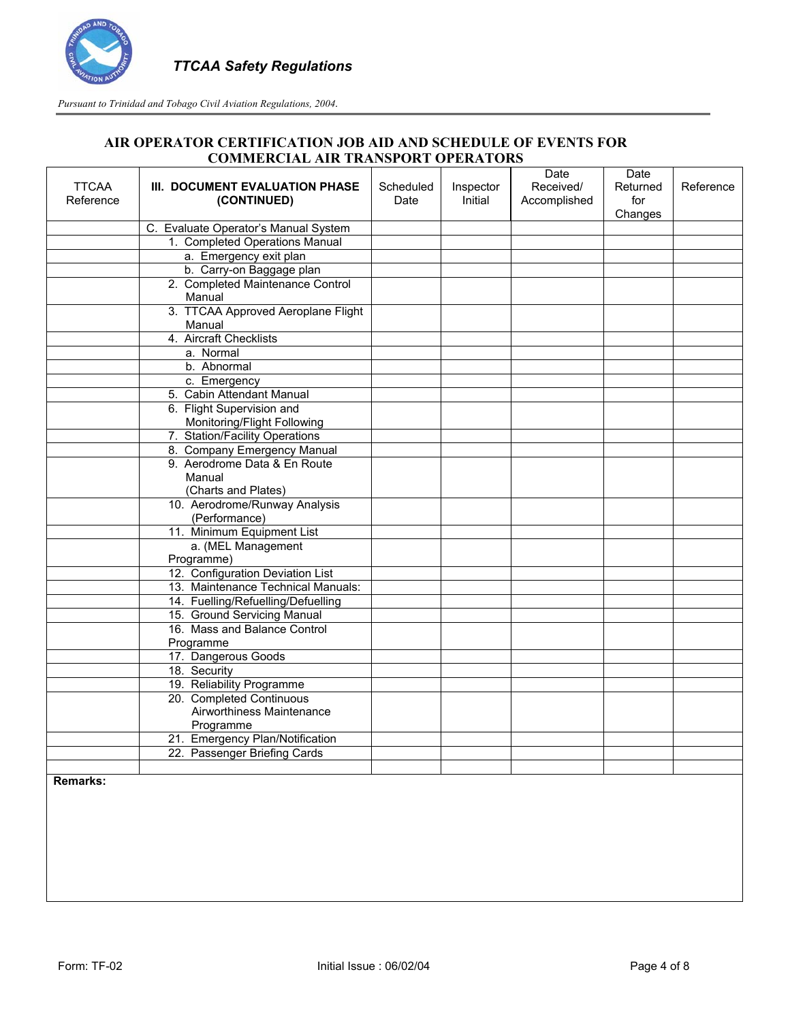

## **AIR OPERATOR CERTIFICATION JOB AID AND SCHEDULE OF EVENTS FOR COMMERCIAL AIR TRANSPORT OPERATORS**

| <b>TTCAA</b> | III. DOCUMENT EVALUATION PHASE                           |                   |                      | Date                      | Date            |           |
|--------------|----------------------------------------------------------|-------------------|----------------------|---------------------------|-----------------|-----------|
| Reference    | (CONTINUED)                                              | Scheduled<br>Date | Inspector<br>Initial | Received/<br>Accomplished | Returned<br>for | Reference |
|              |                                                          |                   |                      |                           | Changes         |           |
|              | C. Evaluate Operator's Manual System                     |                   |                      |                           |                 |           |
|              | 1. Completed Operations Manual                           |                   |                      |                           |                 |           |
|              | a. Emergency exit plan                                   |                   |                      |                           |                 |           |
|              | b. Carry-on Baggage plan                                 |                   |                      |                           |                 |           |
|              | 2. Completed Maintenance Control                         |                   |                      |                           |                 |           |
|              | Manual                                                   |                   |                      |                           |                 |           |
|              | 3. TTCAA Approved Aeroplane Flight                       |                   |                      |                           |                 |           |
|              | Manual                                                   |                   |                      |                           |                 |           |
|              | 4. Aircraft Checklists                                   |                   |                      |                           |                 |           |
|              | a. Normal                                                |                   |                      |                           |                 |           |
|              | b. Abnormal                                              |                   |                      |                           |                 |           |
|              | c. Emergency                                             |                   |                      |                           |                 |           |
|              | 5. Cabin Attendant Manual                                |                   |                      |                           |                 |           |
|              | 6. Flight Supervision and<br>Monitoring/Flight Following |                   |                      |                           |                 |           |
|              | 7. Station/Facility Operations                           |                   |                      |                           |                 |           |
|              | 8. Company Emergency Manual                              |                   |                      |                           |                 |           |
|              | 9. Aerodrome Data & En Route                             |                   |                      |                           |                 |           |
|              | Manual                                                   |                   |                      |                           |                 |           |
|              | (Charts and Plates)                                      |                   |                      |                           |                 |           |
|              | 10. Aerodrome/Runway Analysis                            |                   |                      |                           |                 |           |
|              | (Performance)                                            |                   |                      |                           |                 |           |
|              | 11. Minimum Equipment List                               |                   |                      |                           |                 |           |
|              | a. (MEL Management                                       |                   |                      |                           |                 |           |
|              | Programme)                                               |                   |                      |                           |                 |           |
|              | 12. Configuration Deviation List                         |                   |                      |                           |                 |           |
|              | 13. Maintenance Technical Manuals:                       |                   |                      |                           |                 |           |
|              | 14. Fuelling/Refuelling/Defuelling                       |                   |                      |                           |                 |           |
|              | 15. Ground Servicing Manual                              |                   |                      |                           |                 |           |
|              | 16. Mass and Balance Control                             |                   |                      |                           |                 |           |
|              | Programme                                                |                   |                      |                           |                 |           |
|              | 17. Dangerous Goods                                      |                   |                      |                           |                 |           |
|              | 18. Security                                             |                   |                      |                           |                 |           |
|              | 19. Reliability Programme<br>20. Completed Continuous    |                   |                      |                           |                 |           |
|              | Airworthiness Maintenance                                |                   |                      |                           |                 |           |
|              | Programme                                                |                   |                      |                           |                 |           |
|              | 21. Emergency Plan/Notification                          |                   |                      |                           |                 |           |
|              | 22. Passenger Briefing Cards                             |                   |                      |                           |                 |           |
|              |                                                          |                   |                      |                           |                 |           |
|              |                                                          |                   |                      |                           |                 |           |

**Remarks:**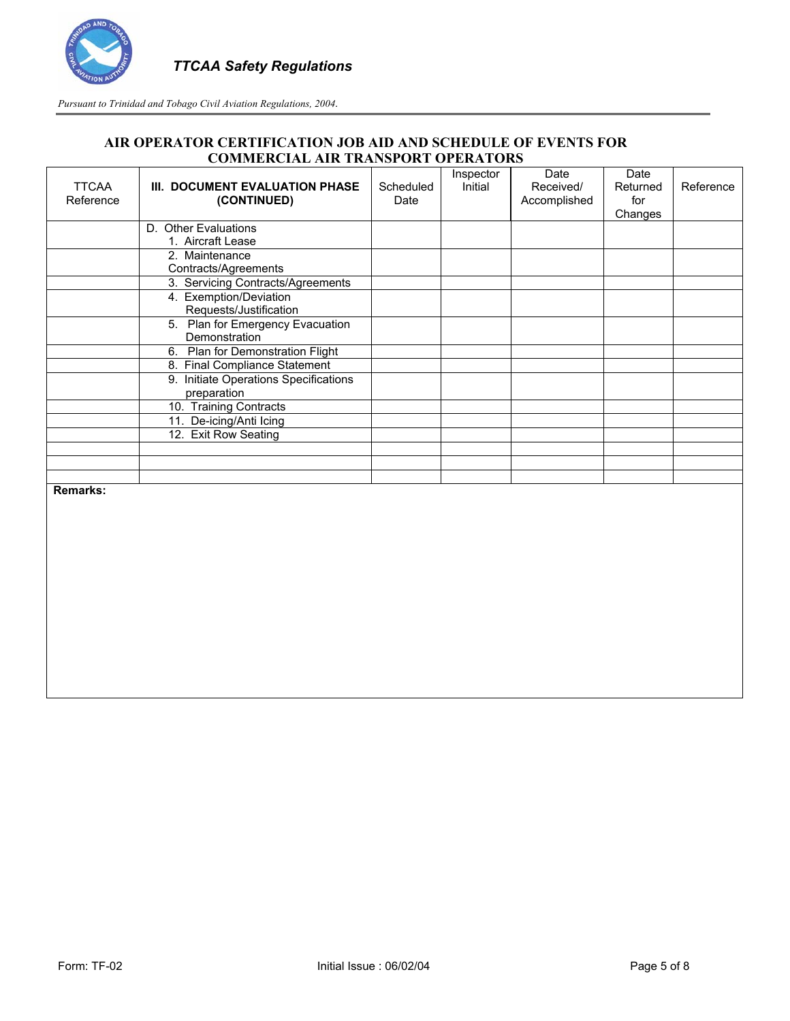

| <b>TTCAA</b><br>Reference | III. DOCUMENT EVALUATION PHASE<br>(CONTINUED) | Scheduled<br>Date | Inspector<br>Initial | Date<br>Received/<br>Accomplished | Date<br>Returned<br>for<br>Changes | Reference |
|---------------------------|-----------------------------------------------|-------------------|----------------------|-----------------------------------|------------------------------------|-----------|
|                           | D. Other Evaluations                          |                   |                      |                                   |                                    |           |
|                           | 1. Aircraft Lease                             |                   |                      |                                   |                                    |           |
|                           | 2. Maintenance                                |                   |                      |                                   |                                    |           |
|                           | Contracts/Agreements                          |                   |                      |                                   |                                    |           |
|                           | 3. Servicing Contracts/Agreements             |                   |                      |                                   |                                    |           |
|                           | 4. Exemption/Deviation                        |                   |                      |                                   |                                    |           |
|                           | Requests/Justification                        |                   |                      |                                   |                                    |           |
|                           | 5. Plan for Emergency Evacuation              |                   |                      |                                   |                                    |           |
|                           | Demonstration                                 |                   |                      |                                   |                                    |           |
|                           | 6. Plan for Demonstration Flight              |                   |                      |                                   |                                    |           |
|                           | 8. Final Compliance Statement                 |                   |                      |                                   |                                    |           |
|                           | 9. Initiate Operations Specifications         |                   |                      |                                   |                                    |           |
|                           | preparation<br>10. Training Contracts         |                   |                      |                                   |                                    |           |
|                           | 11. De-icing/Anti Icing                       |                   |                      |                                   |                                    |           |
|                           | 12. Exit Row Seating                          |                   |                      |                                   |                                    |           |
|                           |                                               |                   |                      |                                   |                                    |           |
|                           |                                               |                   |                      |                                   |                                    |           |
|                           |                                               |                   |                      |                                   |                                    |           |
| <b>Remarks:</b>           |                                               |                   |                      |                                   |                                    |           |
|                           |                                               |                   |                      |                                   |                                    |           |
|                           |                                               |                   |                      |                                   |                                    |           |
|                           |                                               |                   |                      |                                   |                                    |           |
|                           |                                               |                   |                      |                                   |                                    |           |
|                           |                                               |                   |                      |                                   |                                    |           |
|                           |                                               |                   |                      |                                   |                                    |           |
|                           |                                               |                   |                      |                                   |                                    |           |
|                           |                                               |                   |                      |                                   |                                    |           |
|                           |                                               |                   |                      |                                   |                                    |           |
|                           |                                               |                   |                      |                                   |                                    |           |
|                           |                                               |                   |                      |                                   |                                    |           |
|                           |                                               |                   |                      |                                   |                                    |           |
|                           |                                               |                   |                      |                                   |                                    |           |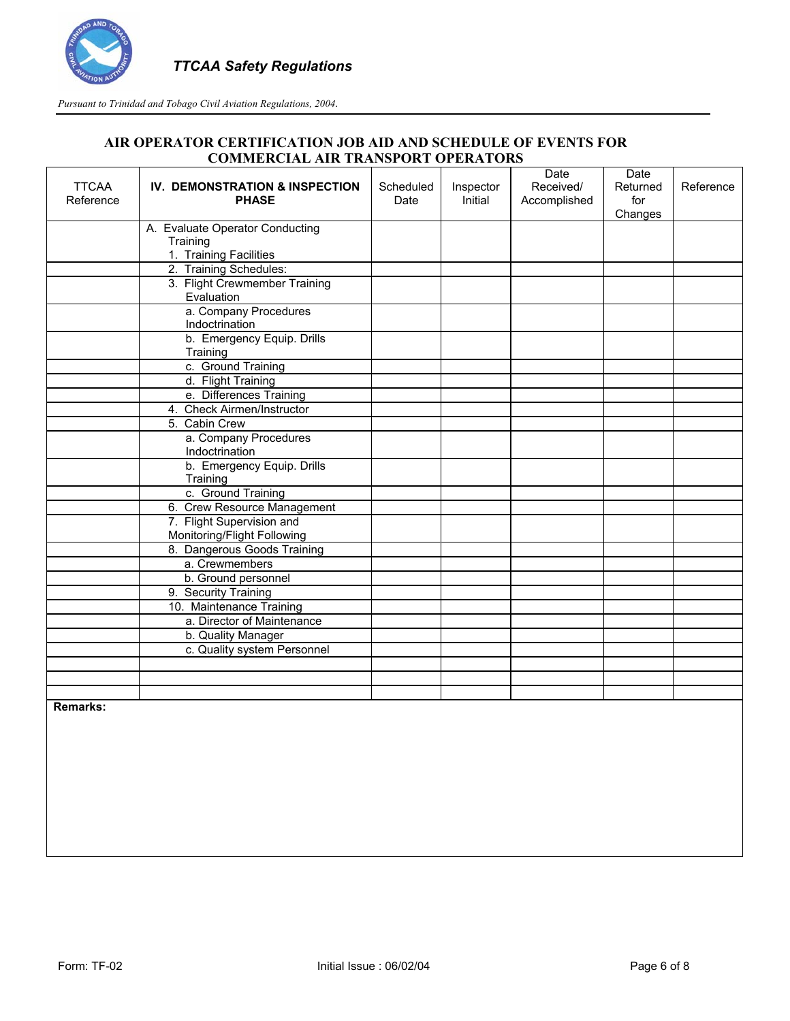

| <b>TTCAA</b><br>Reference | IV. DEMONSTRATION & INSPECTION<br><b>PHASE</b>           | Scheduled<br>Date | Inspector<br>Initial | Date<br>Received/<br>Accomplished | Date<br>Returned<br>for<br>Changes | Reference |
|---------------------------|----------------------------------------------------------|-------------------|----------------------|-----------------------------------|------------------------------------|-----------|
|                           | A. Evaluate Operator Conducting                          |                   |                      |                                   |                                    |           |
|                           | Training                                                 |                   |                      |                                   |                                    |           |
|                           | 1. Training Facilities                                   |                   |                      |                                   |                                    |           |
|                           | 2. Training Schedules:                                   |                   |                      |                                   |                                    |           |
|                           | 3. Flight Crewmember Training<br>Evaluation              |                   |                      |                                   |                                    |           |
|                           | a. Company Procedures<br>Indoctrination                  |                   |                      |                                   |                                    |           |
|                           | b. Emergency Equip. Drills<br>Training                   |                   |                      |                                   |                                    |           |
|                           | c. Ground Training                                       |                   |                      |                                   |                                    |           |
|                           | d. Flight Training                                       |                   |                      |                                   |                                    |           |
|                           | e. Differences Training                                  |                   |                      |                                   |                                    |           |
|                           | 4. Check Airmen/Instructor                               |                   |                      |                                   |                                    |           |
|                           | 5. Cabin Crew                                            |                   |                      |                                   |                                    |           |
|                           | a. Company Procedures<br>Indoctrination                  |                   |                      |                                   |                                    |           |
|                           | b. Emergency Equip. Drills<br>Training                   |                   |                      |                                   |                                    |           |
|                           | c. Ground Training                                       |                   |                      |                                   |                                    |           |
|                           | 6. Crew Resource Management                              |                   |                      |                                   |                                    |           |
|                           | 7. Flight Supervision and<br>Monitoring/Flight Following |                   |                      |                                   |                                    |           |
|                           | 8. Dangerous Goods Training                              |                   |                      |                                   |                                    |           |
|                           | a. Crewmembers                                           |                   |                      |                                   |                                    |           |
|                           | b. Ground personnel                                      |                   |                      |                                   |                                    |           |
|                           | 9. Security Training                                     |                   |                      |                                   |                                    |           |
|                           | 10. Maintenance Training                                 |                   |                      |                                   |                                    |           |
|                           | a. Director of Maintenance                               |                   |                      |                                   |                                    |           |
|                           | b. Quality Manager                                       |                   |                      |                                   |                                    |           |
|                           | c. Quality system Personnel                              |                   |                      |                                   |                                    |           |
|                           |                                                          |                   |                      |                                   |                                    |           |
|                           |                                                          |                   |                      |                                   |                                    |           |
|                           |                                                          |                   |                      |                                   |                                    |           |
| Remarks:                  |                                                          |                   |                      |                                   |                                    |           |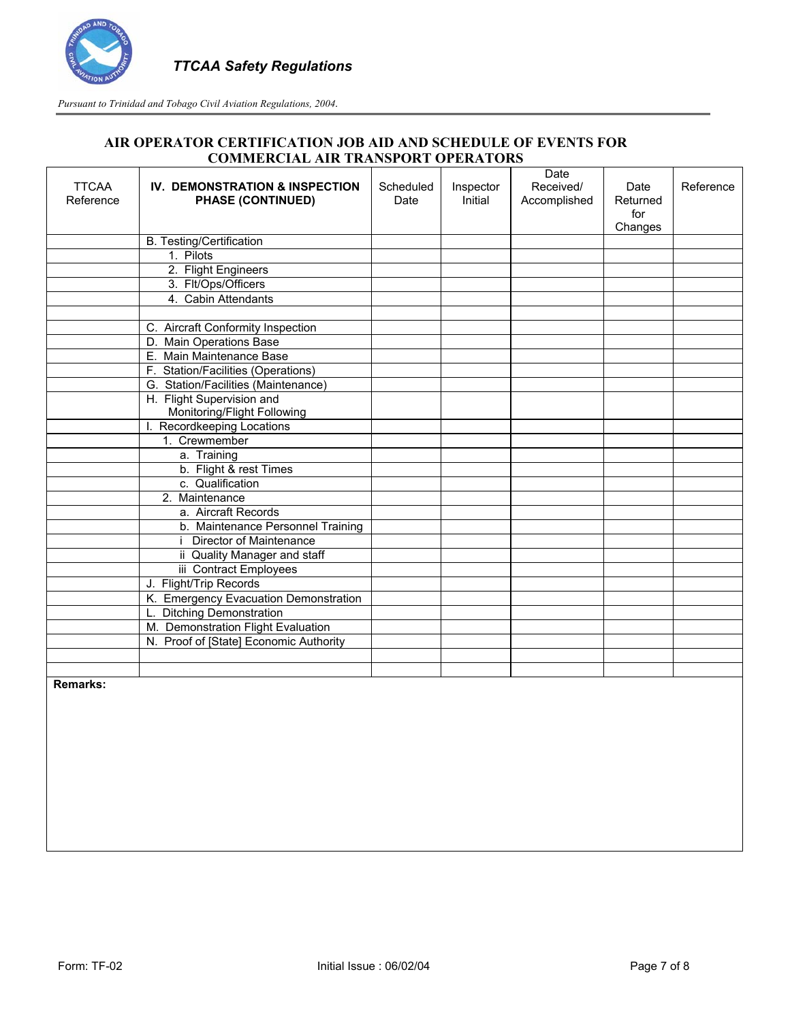

| <b>TTCAA</b><br>Reference | <b>IV. DEMONSTRATION &amp; INSPECTION</b><br><b>PHASE (CONTINUED)</b> | Scheduled<br>Date | Inspector<br>Initial | Date<br>Received/<br>Accomplished | Date<br>Returned<br>for<br>Changes | Reference |
|---------------------------|-----------------------------------------------------------------------|-------------------|----------------------|-----------------------------------|------------------------------------|-----------|
|                           | <b>B. Testing/Certification</b>                                       |                   |                      |                                   |                                    |           |
|                           | 1. Pilots                                                             |                   |                      |                                   |                                    |           |
|                           | 2. Flight Engineers                                                   |                   |                      |                                   |                                    |           |
|                           | 3. Flt/Ops/Officers                                                   |                   |                      |                                   |                                    |           |
|                           | 4. Cabin Attendants                                                   |                   |                      |                                   |                                    |           |
|                           |                                                                       |                   |                      |                                   |                                    |           |
|                           | C. Aircraft Conformity Inspection                                     |                   |                      |                                   |                                    |           |
|                           | D. Main Operations Base                                               |                   |                      |                                   |                                    |           |
|                           | E. Main Maintenance Base                                              |                   |                      |                                   |                                    |           |
|                           | F. Station/Facilities (Operations)                                    |                   |                      |                                   |                                    |           |
|                           | G. Station/Facilities (Maintenance)                                   |                   |                      |                                   |                                    |           |
|                           | H. Flight Supervision and                                             |                   |                      |                                   |                                    |           |
|                           | Monitoring/Flight Following                                           |                   |                      |                                   |                                    |           |
|                           | Recordkeeping Locations                                               |                   |                      |                                   |                                    |           |
|                           | 1. Crewmember                                                         |                   |                      |                                   |                                    |           |
|                           | a. Training                                                           |                   |                      |                                   |                                    |           |
|                           | b. Flight & rest Times                                                |                   |                      |                                   |                                    |           |
|                           | c. Qualification                                                      |                   |                      |                                   |                                    |           |
|                           | 2. Maintenance                                                        |                   |                      |                                   |                                    |           |
|                           | a. Aircraft Records                                                   |                   |                      |                                   |                                    |           |
|                           | b. Maintenance Personnel Training                                     |                   |                      |                                   |                                    |           |
|                           | Director of Maintenance                                               |                   |                      |                                   |                                    |           |
|                           | ii Quality Manager and staff                                          |                   |                      |                                   |                                    |           |
|                           | iii Contract Employees                                                |                   |                      |                                   |                                    |           |
|                           | J. Flight/Trip Records                                                |                   |                      |                                   |                                    |           |
|                           | K. Emergency Evacuation Demonstration                                 |                   |                      |                                   |                                    |           |
|                           | L. Ditching Demonstration                                             |                   |                      |                                   |                                    |           |
|                           | M. Demonstration Flight Evaluation                                    |                   |                      |                                   |                                    |           |
|                           | N. Proof of [State] Economic Authority                                |                   |                      |                                   |                                    |           |
|                           |                                                                       |                   |                      |                                   |                                    |           |
|                           |                                                                       |                   |                      |                                   |                                    |           |
| <b>Remarks:</b>           |                                                                       |                   |                      |                                   |                                    |           |